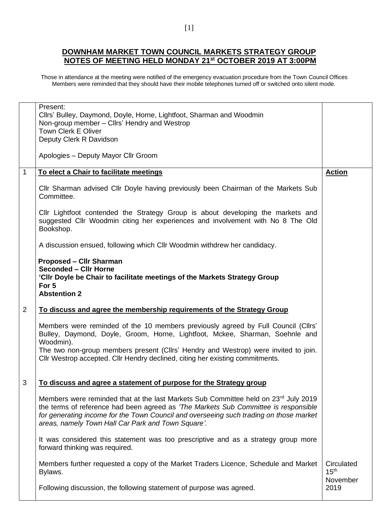## **DOWNHAM MARKET TOWN COUNCIL MARKETS STRATEGY GROUP NOTES OF MEETING HELD MONDAY 21st OCTOBER 2019 AT 3:00PM**

Those in attendance at the meeting were notified of the emergency evacuation procedure from the Town Council Offices Members were reminded that they should have their mobile telephones turned off or switched onto silent mode.

|              | Present:<br>Cllrs' Bulley, Daymond, Doyle, Horne, Lightfoot, Sharman and Woodmin<br>Non-group member - Cllrs' Hendry and Westrop<br><b>Town Clerk E Oliver</b><br>Deputy Clerk R Davidson<br>Apologies - Deputy Mayor Cllr Groom                                                                                           |                                            |
|--------------|----------------------------------------------------------------------------------------------------------------------------------------------------------------------------------------------------------------------------------------------------------------------------------------------------------------------------|--------------------------------------------|
| $\mathbf{1}$ | To elect a Chair to facilitate meetings                                                                                                                                                                                                                                                                                    | <b>Action</b>                              |
|              | CIIr Sharman advised CIIr Doyle having previously been Chairman of the Markets Sub<br>Committee.                                                                                                                                                                                                                           |                                            |
|              | Cllr Lightfoot contended the Strategy Group is about developing the markets and<br>suggested Cllr Woodmin citing her experiences and involvement with No 8 The Old<br>Bookshop.                                                                                                                                            |                                            |
|              | A discussion ensued, following which CIIr Woodmin withdrew her candidacy.                                                                                                                                                                                                                                                  |                                            |
|              | <b>Proposed - Cllr Sharman</b><br><b>Seconded - Cllr Horne</b><br>'Cllr Doyle be Chair to facilitate meetings of the Markets Strategy Group<br>For 5<br><b>Abstention 2</b>                                                                                                                                                |                                            |
| 2            | To discuss and agree the membership requirements of the Strategy Group                                                                                                                                                                                                                                                     |                                            |
|              | Members were reminded of the 10 members previously agreed by Full Council (Cllrs'<br>Bulley, Daymond, Doyle, Groom, Horne, Lightfoot, Mckee, Sharman, Soehnle and<br>Woodmin).                                                                                                                                             |                                            |
|              | The two non-group members present (Cllrs' Hendry and Westrop) were invited to join.<br>CIIr Westrop accepted. CIIr Hendry declined, citing her existing commitments.                                                                                                                                                       |                                            |
| 3            |                                                                                                                                                                                                                                                                                                                            |                                            |
|              | To discuss and agree a statement of purpose for the Strategy group                                                                                                                                                                                                                                                         |                                            |
|              | Members were reminded that at the last Markets Sub Committee held on 23rd July 2019<br>the terms of reference had been agreed as 'The Markets Sub Committee is responsible<br>for generating income for the Town Council and overseeing such trading on those market<br>areas, namely Town Hall Car Park and Town Square'. |                                            |
|              | It was considered this statement was too prescriptive and as a strategy group more<br>forward thinking was required.                                                                                                                                                                                                       |                                            |
|              | Members further requested a copy of the Market Traders Licence, Schedule and Market<br>Bylaws.                                                                                                                                                                                                                             | Circulated<br>15 <sup>th</sup><br>November |
|              | Following discussion, the following statement of purpose was agreed.                                                                                                                                                                                                                                                       | 2019                                       |